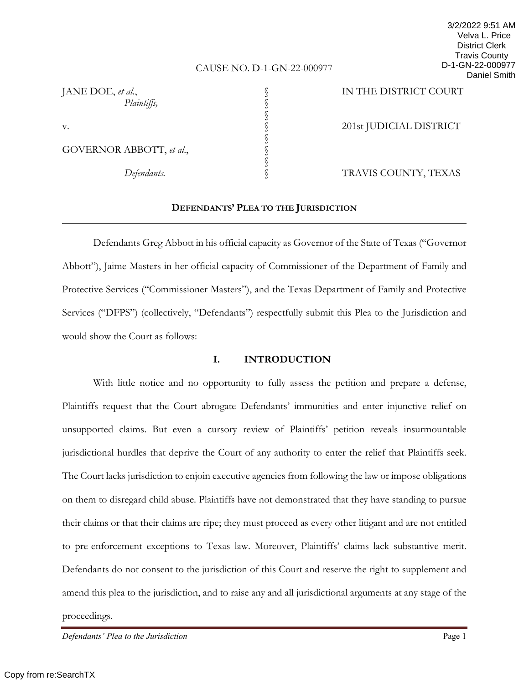#### CAUSE NO. D-1-GN-22-000977

| IN THE DISTRICT COURT   |
|-------------------------|
|                         |
|                         |
| 201st JUDICIAL DISTRICT |
|                         |
|                         |
| TRAVIS COUNTY, TEXAS    |
|                         |

#### **DEFENDANTS' PLEA TO THE JURISDICTION**

Defendants Greg Abbott in his official capacity as Governor of the State of Texas ("Governor Abbott"), Jaime Masters in her official capacity of Commissioner of the Department of Family and Protective Services ("Commissioner Masters"), and the Texas Department of Family and Protective Services ("DFPS") (collectively, "Defendants") respectfully submit this Plea to the Jurisdiction and would show the Court as follows:

### **I. INTRODUCTION**

With little notice and no opportunity to fully assess the petition and prepare a defense, Plaintiffs request that the Court abrogate Defendants' immunities and enter injunctive relief on unsupported claims. But even a cursory review of Plaintiffs' petition reveals insurmountable jurisdictional hurdles that deprive the Court of any authority to enter the relief that Plaintiffs seek. The Court lacks jurisdiction to enjoin executive agencies from following the law or impose obligations on them to disregard child abuse. Plaintiffs have not demonstrated that they have standing to pursue their claims or that their claims are ripe; they must proceed as every other litigant and are not entitled to pre-enforcement exceptions to Texas law. Moreover, Plaintiffs' claims lack substantive merit. Defendants do not consent to the jurisdiction of this Court and reserve the right to supplement and amend this plea to the jurisdiction, and to raise any and all jurisdictional arguments at any stage of the proceedings.

*Defendants' Plea to the Jurisdiction* Page 1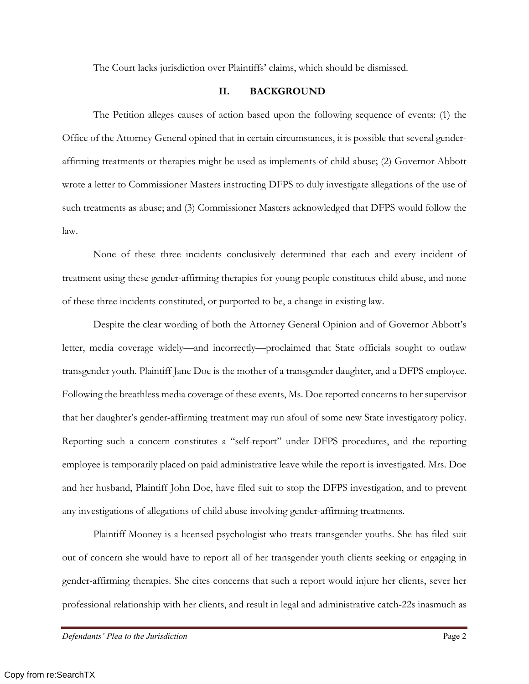The Court lacks jurisdiction over Plaintiffs' claims, which should be dismissed.

### **II. BACKGROUND**

The Petition alleges causes of action based upon the following sequence of events: (1) the Office of the Attorney General opined that in certain circumstances, it is possible that several genderaffirming treatments or therapies might be used as implements of child abuse; (2) Governor Abbott wrote a letter to Commissioner Masters instructing DFPS to duly investigate allegations of the use of such treatments as abuse; and (3) Commissioner Masters acknowledged that DFPS would follow the law.

None of these three incidents conclusively determined that each and every incident of treatment using these gender-affirming therapies for young people constitutes child abuse, and none of these three incidents constituted, or purported to be, a change in existing law.

Despite the clear wording of both the Attorney General Opinion and of Governor Abbott's letter, media coverage widely—and incorrectly—proclaimed that State officials sought to outlaw transgender youth. Plaintiff Jane Doe is the mother of a transgender daughter, and a DFPS employee. Following the breathless media coverage of these events, Ms. Doe reported concerns to her supervisor that her daughter's gender-affirming treatment may run afoul of some new State investigatory policy. Reporting such a concern constitutes a "self-report" under DFPS procedures, and the reporting employee is temporarily placed on paid administrative leave while the report is investigated. Mrs. Doe and her husband, Plaintiff John Doe, have filed suit to stop the DFPS investigation, and to prevent any investigations of allegations of child abuse involving gender-affirming treatments.

Plaintiff Mooney is a licensed psychologist who treats transgender youths. She has filed suit out of concern she would have to report all of her transgender youth clients seeking or engaging in gender-affirming therapies. She cites concerns that such a report would injure her clients, sever her professional relationship with her clients, and result in legal and administrative catch-22s inasmuch as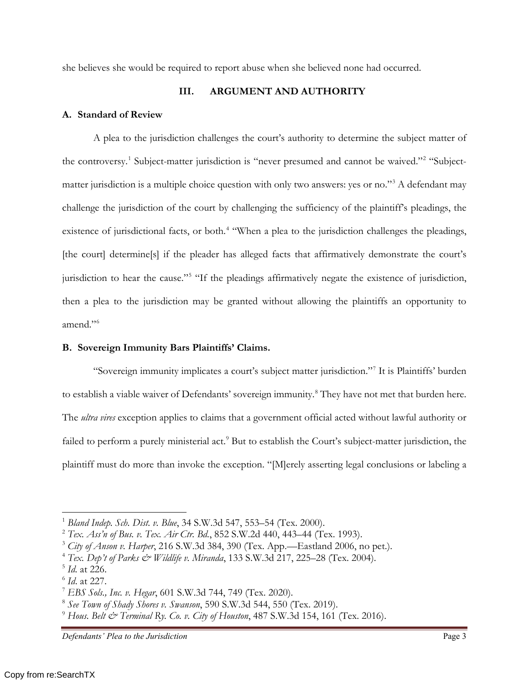she believes she would be required to report abuse when she believed none had occurred.

### **III. ARGUMENT AND AUTHORITY**

#### **A. Standard of Review**

A plea to the jurisdiction challenges the court's authority to determine the subject matter of the controversy.<sup>[1](#page-2-0)</sup> Subject-matter jurisdiction is "never presumed and cannot be waived."<sup>[2](#page-2-1)</sup> "Subject-matter jurisdiction is a multiple choice question with only two answers: yes or no."<sup>[3](#page-2-2)</sup> A defendant may challenge the jurisdiction of the court by challenging the sufficiency of the plaintiff's pleadings, the existence of jurisdictional facts, or both.<sup>[4](#page-2-3)</sup> "When a plea to the jurisdiction challenges the pleadings, [the court] determine[s] if the pleader has alleged facts that affirmatively demonstrate the court's jurisdiction to hear the cause."[5](#page-2-4) "If the pleadings affirmatively negate the existence of jurisdiction, then a plea to the jurisdiction may be granted without allowing the plaintiffs an opportunity to amend."[6](#page-2-5)

#### **B. Sovereign Immunity Bars Plaintiffs' Claims.**

"Sovereign immunity implicates a court's subject matter jurisdiction."[7](#page-2-6) It is Plaintiffs' burden to establish a viable waiver of Defendants' sovereign immunity.<sup>[8](#page-2-7)</sup> They have not met that burden here. The *ultra vires* exception applies to claims that a government official acted without lawful authority or failed to perform a purely ministerial act.<sup>[9](#page-2-8)</sup> But to establish the Court's subject-matter jurisdiction, the plaintiff must do more than invoke the exception. "[M]erely asserting legal conclusions or labeling a

*Defendants' Plea to the Jurisdiction* Page 3

<span id="page-2-0"></span><sup>1</sup> *Bland Indep. Sch. Dist. v. Blue*, 34 S.W.3d 547, 553–54 (Tex. 2000).

<span id="page-2-1"></span><sup>2</sup> *Tex. Ass'n of Bus. v. Tex. Air Ctr. Bd.*, 852 S.W.2d 440, 443–44 (Tex. 1993).

<span id="page-2-2"></span><sup>3</sup> *City of Anson v. Harper*, 216 S.W.3d 384, 390 (Tex. App.—Eastland 2006, no pet.).

<span id="page-2-3"></span><sup>&</sup>lt;sup>4</sup> *Tex. Dep't of Parks*  $\acute{\text{c}}$  *Wildlife v. Miranda*, 133 S.W.3d 217, 225–28 (Tex. 2004).

<span id="page-2-4"></span><sup>5</sup> *Id.* at 226.

<span id="page-2-5"></span><sup>6</sup> *Id*. at 227.

<span id="page-2-6"></span><sup>7</sup> *EBS Sols., Inc. v. Hegar*, 601 S.W.3d 744, 749 (Tex. 2020).

<span id="page-2-7"></span><sup>8</sup> *See Town of Shady Shores v. Swanson*, 590 S.W.3d 544, 550 (Tex. 2019).

<span id="page-2-8"></span> $9$  *Hous. Belt*  $\acute{c}$ *<sup>2</sup> Terminal Ry. Co. v. City of Houston*, 487 S.W.3d 154, 161 (Tex. 2016).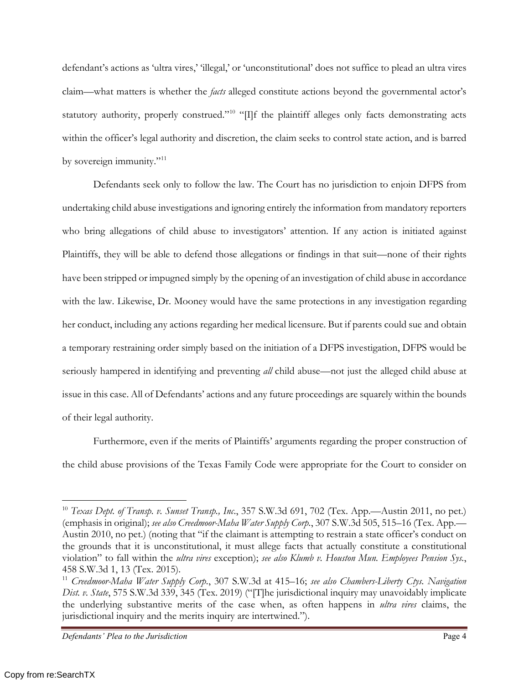defendant's actions as 'ultra vires,' 'illegal,' or 'unconstitutional' does not suffice to plead an ultra vires claim—what matters is whether the *facts* alleged constitute actions beyond the governmental actor's statutory authority, properly construed."<sup>[10](#page-3-0)</sup> "[I]f the plaintiff alleges only facts demonstrating acts within the officer's legal authority and discretion, the claim seeks to control state action, and is barred by sovereign immunity."<sup>11</sup>

Defendants seek only to follow the law. The Court has no jurisdiction to enjoin DFPS from undertaking child abuse investigations and ignoring entirely the information from mandatory reporters who bring allegations of child abuse to investigators' attention. If any action is initiated against Plaintiffs, they will be able to defend those allegations or findings in that suit—none of their rights have been stripped or impugned simply by the opening of an investigation of child abuse in accordance with the law. Likewise, Dr. Mooney would have the same protections in any investigation regarding her conduct, including any actions regarding her medical licensure. But if parents could sue and obtain a temporary restraining order simply based on the initiation of a DFPS investigation, DFPS would be seriously hampered in identifying and preventing *all* child abuse—not just the alleged child abuse at issue in this case. All of Defendants' actions and any future proceedings are squarely within the bounds of their legal authority.

Furthermore, even if the merits of Plaintiffs' arguments regarding the proper construction of the child abuse provisions of the Texas Family Code were appropriate for the Court to consider on

<span id="page-3-0"></span><sup>10</sup> *Texas Dept. of Transp. v. Sunset Transp., Inc*., 357 S.W.3d 691, 702 (Tex. App.—Austin 2011, no pet.) (emphasis in original); *see also Creedmoor-Maha Water Supply Corp.*, 307 S.W.3d 505, 515–16 (Tex. App.— Austin 2010, no pet.) (noting that "if the claimant is attempting to restrain a state officer's conduct on the grounds that it is unconstitutional, it must allege facts that actually constitute a constitutional violation" to fall within the *ultra vires* exception); *see also Klumb v. Houston Mun. Employees Pension Sys.*, 458 S.W.3d 1, 13 (Tex. 2015).

<span id="page-3-1"></span><sup>11</sup> *Creedmoor-Maha Water Supply Corp.*, 307 S.W.3d at 415–16; *see also Chambers-Liberty Ctys. Navigation Dist. v. State*, 575 S.W.3d 339, 345 (Tex. 2019) ("[T]he jurisdictional inquiry may unavoidably implicate the underlying substantive merits of the case when, as often happens in *ultra vires* claims, the jurisdictional inquiry and the merits inquiry are intertwined.").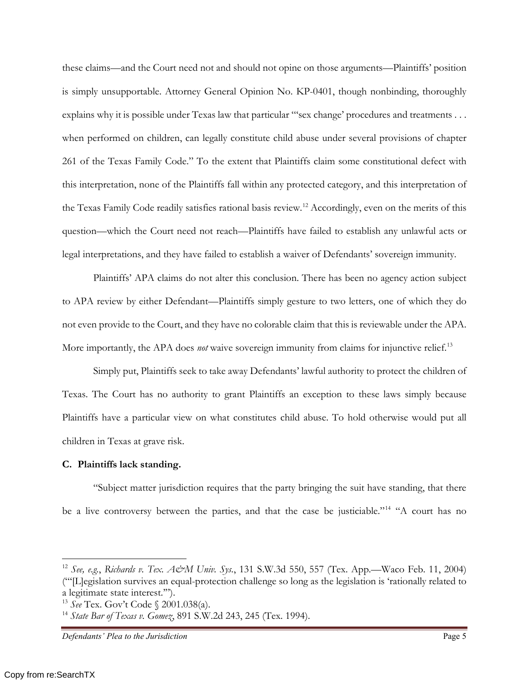these claims—and the Court need not and should not opine on those arguments—Plaintiffs' position is simply unsupportable. Attorney General Opinion No. KP-0401, though nonbinding, thoroughly explains why it is possible under Texas law that particular "'sex change' procedures and treatments . . . when performed on children, can legally constitute child abuse under several provisions of chapter 261 of the Texas Family Code." To the extent that Plaintiffs claim some constitutional defect with this interpretation, none of the Plaintiffs fall within any protected category, and this interpretation of the Texas Family Code readily satisfies rational basis review.<sup>[12](#page-4-0)</sup> Accordingly, even on the merits of this question—which the Court need not reach—Plaintiffs have failed to establish any unlawful acts or legal interpretations, and they have failed to establish a waiver of Defendants' sovereign immunity.

Plaintiffs' APA claims do not alter this conclusion. There has been no agency action subject to APA review by either Defendant—Plaintiffs simply gesture to two letters, one of which they do not even provide to the Court, and they have no colorable claim that this is reviewable under the APA. More importantly, the APA does *not* waive sovereign immunity from claims for injunctive relief.<sup>[13](#page-4-1)</sup>

Simply put, Plaintiffs seek to take away Defendants' lawful authority to protect the children of Texas. The Court has no authority to grant Plaintiffs an exception to these laws simply because Plaintiffs have a particular view on what constitutes child abuse. To hold otherwise would put all children in Texas at grave risk.

### **C. Plaintiffs lack standing.**

"Subject matter jurisdiction requires that the party bringing the suit have standing, that there be a live controversy between the parties, and that the case be justiciable."<sup>[14](#page-4-2)</sup> "A court has no

*Defendants' Plea to the Jurisdiction* Page 5

<span id="page-4-0"></span><sup>&</sup>lt;sup>12</sup> See, e.g., *Richards v. Tex. A&M Univ. Sys.*, 131 S.W.3d 550, 557 (Tex. App.—Waco Feb. 11, 2004) ("'[L]egislation survives an equal-protection challenge so long as the legislation is 'rationally related to a legitimate state interest.'").

<span id="page-4-1"></span><sup>13</sup> *See* Tex. Gov't Code § 2001.038(a).

<span id="page-4-2"></span><sup>14</sup> *State Bar of Texas v. Gomez*, 891 S.W.2d 243, 245 (Tex. 1994).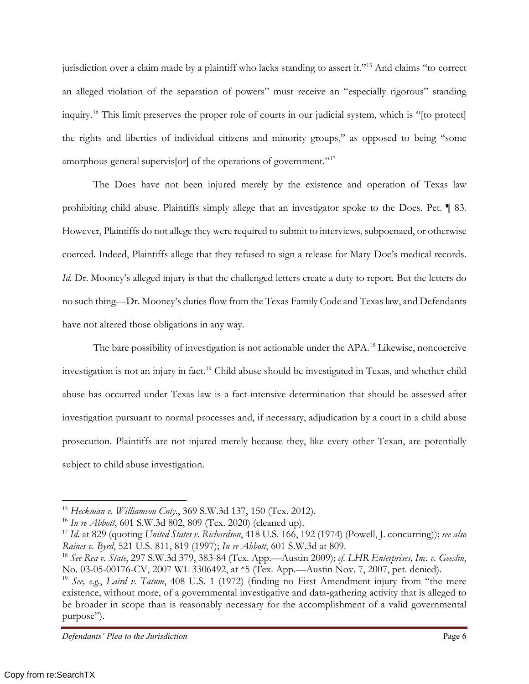jurisdiction over a claim made by a plaintiff who lacks standing to assert it."[15](#page-5-0) And claims "to correct an alleged violation of the separation of powers" must receive an "especially rigorous" standing inquiry.[16](#page-5-1) This limit preserves the proper role of courts in our judicial system, which is "[to protect] the rights and liberties of individual citizens and minority groups," as opposed to being "some amorphous general supervis[or] of the operations of government."<sup>[17](#page-5-2)</sup>

The Does have not been injured merely by the existence and operation of Texas law prohibiting child abuse. Plaintiffs simply allege that an investigator spoke to the Does. Pet. ¶ 83. However, Plaintiffs do not allege they were required to submit to interviews, subpoenaed, or otherwise coerced. Indeed, Plaintiffs allege that they refused to sign a release for Mary Doe's medical records. *Id.* Dr. Mooney's alleged injury is that the challenged letters create a duty to report. But the letters do no such thing—Dr. Mooney's duties flow from the Texas Family Code and Texas law, and Defendants have not altered those obligations in any way.

The bare possibility of investigation is not actionable under the APA.<sup>[18](#page-5-3)</sup> Likewise, noncoercive investigation is not an injury in fact.[19](#page-5-4) Child abuse should be investigated in Texas, and whether child abuse has occurred under Texas law is a fact-intensive determination that should be assessed after investigation pursuant to normal processes and, if necessary, adjudication by a court in a child abuse prosecution. Plaintiffs are not injured merely because they, like every other Texan, are potentially subject to child abuse investigation.

<span id="page-5-0"></span><sup>15</sup> *Heckman v. Williamson Cnty.*, 369 S.W.3d 137, 150 (Tex. 2012).

<span id="page-5-1"></span><sup>16</sup> *In re Abbott*, 601 S.W.3d 802, 809 (Tex. 2020) (cleaned up).

<span id="page-5-2"></span><sup>17</sup> *Id.* at 829 (quoting *United States v. Richardson*, 418 U.S. 166, 192 (1974) (Powell, J. concurring)); *see also Raines v. Byrd*, 521 U.S. 811, 819 (1997); *In re Abbott*, 601 S.W.3d at 809.

<span id="page-5-3"></span><sup>18</sup> *See Rea v. State*, 297 S.W.3d 379, 383-84 (Tex. App.—Austin 2009); *cf. LHR Enterprises, Inc. v. Geeslin*, No. 03-05-00176-CV, 2007 WL 3306492, at \*5 (Tex. App.—Austin Nov. 7, 2007, pet. denied).

<span id="page-5-4"></span><sup>19</sup> *See, e.g.*, *Laird v. Tatum*, 408 U.S. 1 (1972) (finding no First Amendment injury from "the mere existence, without more, of a governmental investigative and data-gathering activity that is alleged to be broader in scope than is reasonably necessary for the accomplishment of a valid governmental purpose").

*Defendants' Plea to the Jurisdiction* Page 6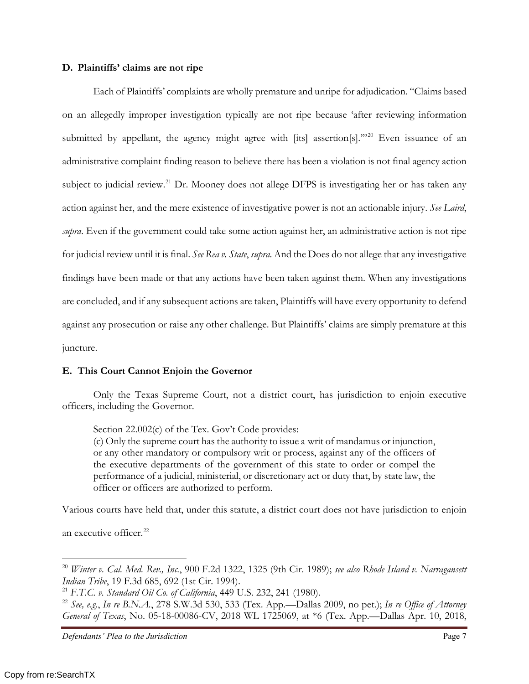#### **D. Plaintiffs' claims are not ripe**

Each of Plaintiffs' complaints are wholly premature and unripe for adjudication. "Claims based on an allegedly improper investigation typically are not ripe because 'after reviewing information submitted by appellant, the agency might agree with [its] assertion[s]."<sup>[20](#page-6-0)</sup> Even issuance of an administrative complaint finding reason to believe there has been a violation is not final agency action subject to judicial review.<sup>[21](#page-6-1)</sup> Dr. Mooney does not allege DFPS is investigating her or has taken any action against her, and the mere existence of investigative power is not an actionable injury. *See Laird*, *supra*. Even if the government could take some action against her, an administrative action is not ripe for judicial review until it is final. *See Rea v. State*, *supra*. And the Does do not allege that any investigative findings have been made or that any actions have been taken against them. When any investigations are concluded, and if any subsequent actions are taken, Plaintiffs will have every opportunity to defend against any prosecution or raise any other challenge. But Plaintiffs' claims are simply premature at this juncture.

### **E. This Court Cannot Enjoin the Governor**

Only the Texas Supreme Court, not a district court, has jurisdiction to enjoin executive officers, including the Governor.

Section 22.002(c) of the Tex. Gov't Code provides:

(c) Only the supreme court has the authority to issue a writ of mandamus or injunction, or any other mandatory or compulsory writ or process, against any of the officers of the executive departments of the government of this state to order or compel the performance of a judicial, ministerial, or discretionary act or duty that, by state law, the officer or officers are authorized to perform.

Various courts have held that, under this statute, a district court does not have jurisdiction to enjoin

an executive officer.<sup>[22](#page-6-2)</sup>

<span id="page-6-0"></span><sup>20</sup> *Winter v. Cal. Med. Rev., Inc.*, 900 F.2d 1322, 1325 (9th Cir. 1989); *see also Rhode Island v. Narragansett Indian Tribe*, 19 F.3d 685, 692 (1st Cir. 1994).

<span id="page-6-1"></span><sup>21</sup> *F.T.C. v. Standard Oil Co. of California*, 449 U.S. 232, 241 (1980).

<span id="page-6-2"></span><sup>22</sup> *See, e.g.*, *In re B.N.A.*, 278 S.W.3d 530, 533 (Tex. App.—Dallas 2009, no pet.); *In re Office of Attorney General of Texas*, No. 05-18-00086-CV, 2018 WL 1725069, at \*6 (Tex. App.—Dallas Apr. 10, 2018,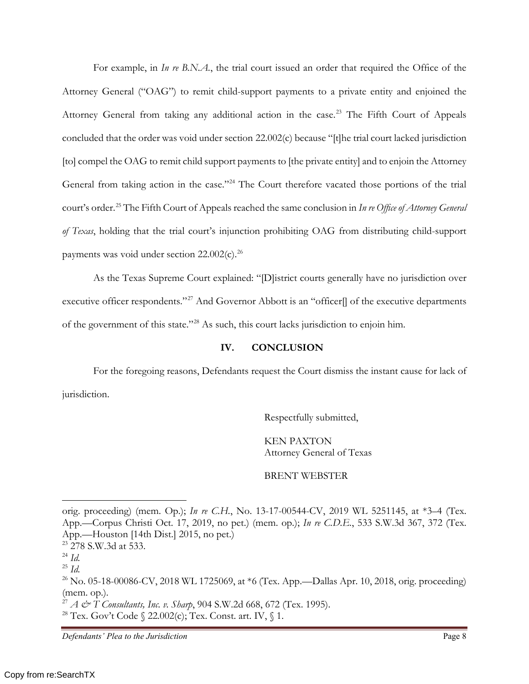For example, in *In re B.N.A.*, the trial court issued an order that required the Office of the Attorney General ("OAG") to remit child-support payments to a private entity and enjoined the Attorney General from taking any additional action in the case.<sup>[23](#page-7-0)</sup> The Fifth Court of Appeals concluded that the order was void under section 22.002(c) because "[t]he trial court lacked jurisdiction [to] compel the OAG to remit child support payments to [the private entity] and to enjoin the Attorney General from taking action in the case."<sup>[24](#page-7-1)</sup> The Court therefore vacated those portions of the trial court's order.[25](#page-7-2) The Fifth Court of Appeals reached the same conclusion in *In re Office of Attorney General of Texas*, holding that the trial court's injunction prohibiting OAG from distributing child-support payments was void under section  $22.002(c)$ .<sup>[26](#page-7-3)</sup>

As the Texas Supreme Court explained: "[D]istrict courts generally have no jurisdiction over executive officer respondents."<sup>[27](#page-7-4)</sup> And Governor Abbott is an "officer<sup>[]</sup> of the executive departments of the government of this state."[28](#page-7-5) As such, this court lacks jurisdiction to enjoin him.

## **IV. CONCLUSION**

For the foregoing reasons, Defendants request the Court dismiss the instant cause for lack of jurisdiction.

Respectfully submitted,

KEN PAXTON Attorney General of Texas

### BRENT WEBSTER

<span id="page-7-2"></span><sup>25</sup> *Id.*

orig. proceeding) (mem. Op.); *In re C.H.*, No. 13-17-00544-CV, 2019 WL 5251145, at \*3–4 (Tex. App.—Corpus Christi Oct. 17, 2019, no pet.) (mem. op.); *In re C.D.E.*, 533 S.W.3d 367, 372 (Tex. App.—Houston [14th Dist.] 2015, no pet.)

<span id="page-7-0"></span><sup>&</sup>lt;sup>23</sup> 278 S.W.3d at 533.

<span id="page-7-1"></span><sup>24</sup> *Id.*

<span id="page-7-3"></span><sup>&</sup>lt;sup>26</sup> No. 05-18-00086-CV, 2018 WL 1725069, at  $*6$  (Tex. App.—Dallas Apr. 10, 2018, orig. proceeding) (mem. op.).

<span id="page-7-4"></span> $^{27}$  *A*  $\acute{c}$  *T* Consultants, Inc. v. Sharp, 904 S.W.2d 668, 672 (Tex. 1995).

<span id="page-7-5"></span><sup>&</sup>lt;sup>28</sup> Tex. Gov't Code  $\{$  22.002(c); Tex. Const. art. IV,  $\{$  1.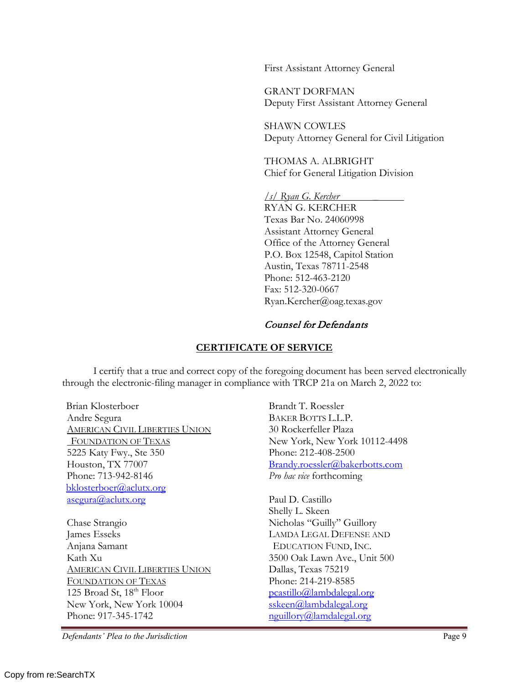First Assistant Attorney General

GRANT DORFMAN Deputy First Assistant Attorney General

SHAWN COWLES Deputy Attorney General for Civil Litigation

THOMAS A. ALBRIGHT Chief for General Litigation Division

*/s/ Ryan G. Kercher* \_

RYAN G. KERCHER Texas Bar No. 24060998 Assistant Attorney General Office of the Attorney General P.O. Box 12548, Capitol Station Austin, Texas 78711-2548 Phone: 512-463-2120 Fax: 512-320-0667 Ryan.Kercher@oag.texas.gov

### Counsel for Defendants

### **CERTIFICATE OF SERVICE**

I certify that a true and correct copy of the foregoing document has been served electronically through the electronic-filing manager in compliance with TRCP 21a on March 2, 2022 to:

Brian Klosterboer Andre Segura AMERICAN CIVIL LIBERTIES UNION FOUNDATION OF TEXAS 5225 Katy Fwy., Ste 350 Houston, TX 77007 Phone: 713-942-8146 [bklosterboer@aclutx.org](mailto:bklosterboer@aclutx.org) [asegura@aclutx.org](mailto:asegura@aclutx.org)

Chase Strangio James Esseks Anjana Samant Kath Xu AMERICAN CIVIL LIBERTIES UNION FOUNDATION OF TEXAS 125 Broad St, 18th Floor New York, New York 10004 Phone: 917-345-1742

Brandt T. Roessler BAKER BOTTS L.L.P. 30 Rockerfeller Plaza New York, New York 10112-4498 Phone: 212-408-2500 [Brandy.roessler@bakerbotts.com](mailto:Brandy.roessler@bakerbotts.com) *Pro hac vice* forthcoming

Paul D. Castillo Shelly L. Skeen Nicholas "Guilly" Guillory LAMDA LEGAL DEFENSE AND EDUCATION FUND, INC. 3500 Oak Lawn Ave., Unit 500 Dallas, Texas 75219 Phone: 214-219-8585 [pcastillo@lambdalegal.org](mailto:pcastillo@lambdalegal.org) [sskeen@lambdalegal.org](mailto:sskeen@lambdalegal.org) [nguillory@lamdalegal.org](mailto:nguillory@lamdalegal.org)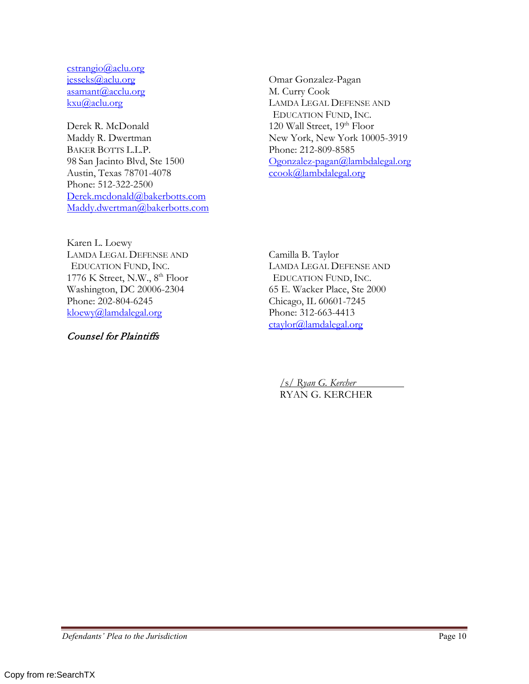[cstrangio@aclu.org](mailto:cstrangio@aclu.org) [jesseks@aclu.org](mailto:jesseks@aclu.org) [asamant@acclu.org](mailto:asamant@acclu.org) [kxu@aclu.org](mailto:kxu@aclu.org)

Derek R. McDonald Maddy R. Dwertman BAKER BOTTS L.L.P. 98 San Jacinto Blvd, Ste 1500 Austin, Texas 78701-4078 Phone: 512-322-2500 [Derek.mcdonald@bakerbotts.com](mailto:Derek.mcdonald@bakerbotts.com) [Maddy.dwertman@bakerbotts.com](mailto:Maddy.dwertman@bakerbotts.com) Omar Gonzalez-Pagan M. Curry Cook LAMDA LEGAL DEFENSE AND EDUCATION FUND, INC. 120 Wall Street, 19<sup>th</sup> Floor New York, New York 10005-3919 Phone: 212-809-8585 [Ogonzalez-pagan@lambdalegal.org](mailto:Ogonzalez-pagan@lambdalegal.org) [ccook@lambdalegal.org](mailto:ccook@lambdalegal.org)

Karen L. Loewy LAMDA LEGAL DEFENSE AND EDUCATION FUND, INC. 1776 K Street, N.W.,  $8<sup>th</sup>$  Floor Washington, DC 20006-2304 Phone: 202-804-6245 [kloewy@lamdalegal.org](mailto:kloewy@lamdalegal.org)

Counsel for Plaintiffs

Camilla B. Taylor LAMDA LEGAL DEFENSE AND EDUCATION FUND, INC. 65 E. Wacker Place, Ste 2000 Chicago, IL 60601-7245 Phone: 312-663-4413 [ctaylor@lamdalegal.org](mailto:ctaylor@lamdalegal.org)

/s/ *Ryan G. Kercher*  RYAN G. KERCHER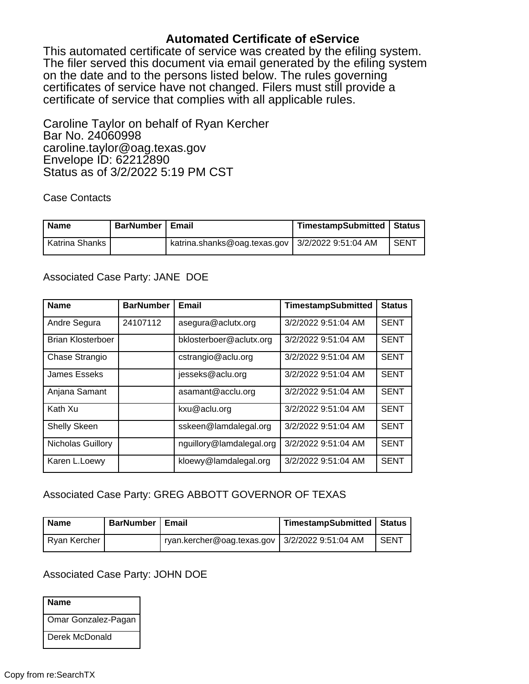# **Automated Certificate of eService**

This automated certificate of service was created by the efiling system. The filer served this document via email generated by the efiling system on the date and to the persons listed below. The rules governing certificates of service have not changed. Filers must still provide a certificate of service that complies with all applicable rules.

Caroline Taylor on behalf of Ryan Kercher Bar No. 24060998 caroline.taylor@oag.texas.gov Envelope ID: 62212890 Status as of 3/2/2022 5:19 PM CST

## Case Contacts

| <b>Name</b>    | <b>BarNumber</b> | Email                                                | TimestampSubmitted   Status |      |
|----------------|------------------|------------------------------------------------------|-----------------------------|------|
| Katrina Shanks |                  | katrina.shanks@oag.texas.gov   $3/2/2022$ 9:51:04 AM |                             | SENT |

## Associated Case Party: JANE DOE

| <b>Name</b>         | <b>BarNumber</b> | <b>Email</b>             | TimestampSubmitted  | <b>Status</b> |
|---------------------|------------------|--------------------------|---------------------|---------------|
| Andre Segura        | 24107112         | asegura@aclutx.org       | 3/2/2022 9:51:04 AM | <b>SENT</b>   |
| Brian Klosterboer   |                  | bklosterboer@aclutx.org  | 3/2/2022 9:51:04 AM | <b>SENT</b>   |
| Chase Strangio      |                  | cstrangio@aclu.org       | 3/2/2022 9:51:04 AM | <b>SENT</b>   |
| James Esseks        |                  | jesseks@aclu.org         | 3/2/2022 9:51:04 AM | <b>SENT</b>   |
| Anjana Samant       |                  | asamant@acclu.org        | 3/2/2022 9:51:04 AM | <b>SENT</b>   |
| Kath Xu             |                  | kxu@aclu.org             | 3/2/2022 9:51:04 AM | <b>SENT</b>   |
| <b>Shelly Skeen</b> |                  | sskeen@lamdalegal.org    | 3/2/2022 9:51:04 AM | <b>SENT</b>   |
| Nicholas Guillory   |                  | nguillory@lamdalegal.org | 3/2/2022 9:51:04 AM | <b>SENT</b>   |
| Karen L.Loewy       |                  | kloewy@lamdalegal.org    | 3/2/2022 9:51:04 AM | <b>SENT</b>   |

## Associated Case Party: GREG ABBOTT GOVERNOR OF TEXAS

| <b>Name</b>    | <b>BarNumber   Email</b> |                                                  | TimestampSubmitted   Status |      |
|----------------|--------------------------|--------------------------------------------------|-----------------------------|------|
| I Rvan Kercher |                          | ryan.kercher@oag.texas.gov   3/2/2022 9:51:04 AM |                             | SENT |

## Associated Case Party: JOHN DOE

| Name                |
|---------------------|
| Omar Gonzalez-Pagan |
| Derek McDonald      |